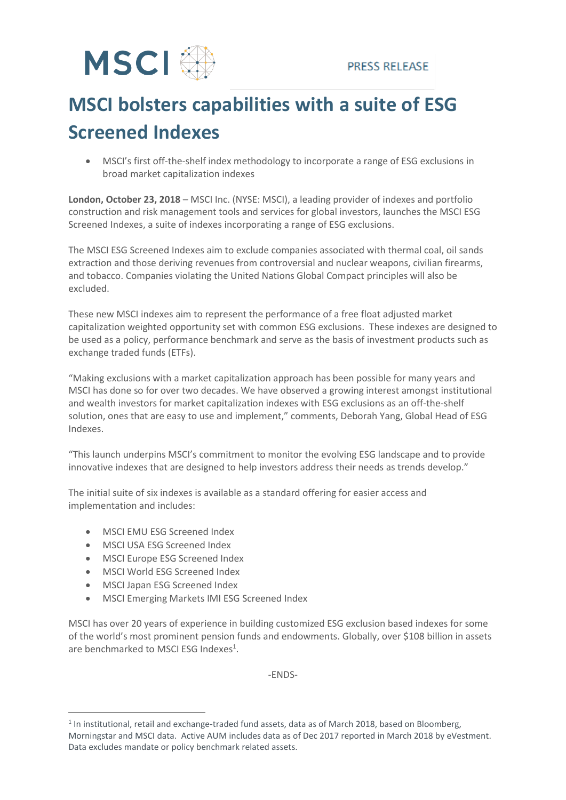

# **MSCI bolsters capabilities with a suite of ESG Screened Indexes**

• MSCI's first off-the-shelf index methodology to incorporate a range of ESG exclusions in broad market capitalization indexes

**London, October 23, 2018** – MSCI Inc. (NYSE: MSCI), a leading provider of indexes and portfolio construction and risk management tools and services for global investors, launches the MSCI ESG Screened Indexes, a suite of indexes incorporating a range of ESG exclusions.

The MSCI ESG Screened Indexes aim to exclude companies associated with thermal coal, oil sands extraction and those deriving revenues from controversial and nuclear weapons, civilian firearms, and tobacco. Companies violating the United Nations Global Compact principles will also be excluded.

These new MSCI indexes aim to represent the performance of a free float adjusted market capitalization weighted opportunity set with common ESG exclusions. These indexes are designed to be used as a policy, performance benchmark and serve as the basis of investment products such as exchange traded funds (ETFs).

"Making exclusions with a market capitalization approach has been possible for many years and MSCI has done so for over two decades. We have observed a growing interest amongst institutional and wealth investors for market capitalization indexes with ESG exclusions as an off-the-shelf solution, ones that are easy to use and implement," comments, Deborah Yang, Global Head of ESG Indexes.

"This launch underpins MSCI's commitment to monitor the evolving ESG landscape and to provide innovative indexes that are designed to help investors address their needs as trends develop."

The initial suite of six indexes is available as a standard offering for easier access and implementation and includes:

- MSCI EMU ESG Screened Index
- MSCI USA ESG Screened Index
- MSCI Europe ESG Screened Index
- MSCI World ESG Screened Index
- MSCI Japan ESG Screened Index

**.** 

• MSCI Emerging Markets IMI ESG Screened Index

MSCI has over 20 years of experience in building customized ESG exclusion based indexes for some of the world's most prominent pension funds and endowments. Globally, over \$108 billion in assets are benchmarked to MSCI ESG Indexes<sup>1</sup>.

-ENDS-

 $<sup>1</sup>$  In institutional, retail and exchange-traded fund assets, data as of March 2018, based on Bloomberg,</sup> Morningstar and MSCI data. Active AUM includes data as of Dec 2017 reported in March 2018 by eVestment. Data excludes mandate or policy benchmark related assets.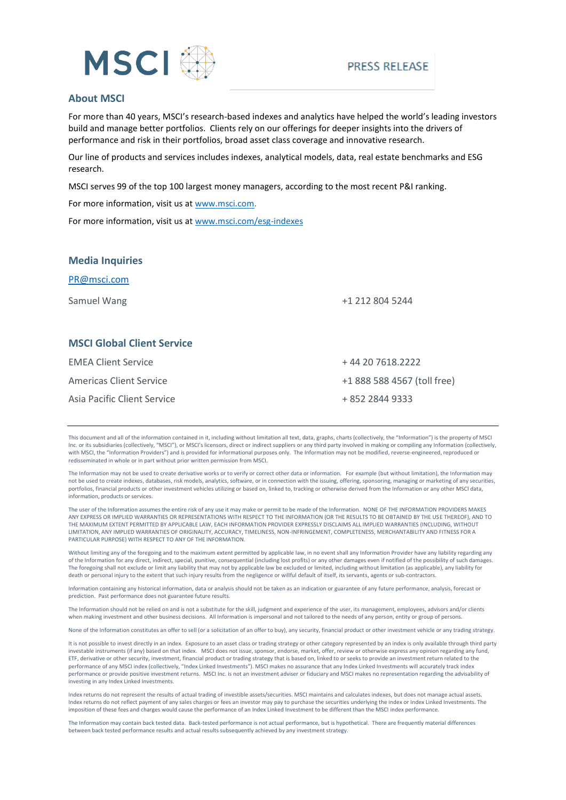

### **PRESS RELEASE**

#### **About MSCI**

For more than 40 years, MSCI's research-based indexes and analytics have helped the world's leading investors build and manage better portfolios. Clients rely on our offerings for deeper insights into the drivers of performance and risk in their portfolios, broad asset class coverage and innovative research.

Our line of products and services includes indexes, analytical models, data, real estate benchmarks and ESG research.

MSCI serves 99 of the top 100 largest money managers, according to the most recent P&I ranking.

For more information, visit us at [www.msci.com.](http://www.msci.com/)

For more information, visit us at [www.msci.com/esg-indexes](http://www.msci.com/esg-indexes)

#### **Media Inquiries**

**MSCI Global Client Service**

[PR@msci.com](mailto:PR@msci.com)

Samuel Wang **1998** 1202 804 5244

| INISCI GIODAI CIIENT SEIVICE |                             |
|------------------------------|-----------------------------|
| <b>EMEA Client Service</b>   | +44 20 7618.2222            |
| Americas Client Service      | +1 888 588 4567 (toll free) |
| Asia Pacific Client Service  | + 852 2844 9333             |

This document and all of the information contained in it, including without limitation all text, data, graphs, charts (collectively, the "Information") is the property of MSCI Inc. or its subsidiaries (collectively, "MSCI"), or MSCI's licensors, direct or indirect suppliers or any third party involved in making or compiling any Information (collectively, with MSCI, the "Information Providers") and is provided for informational purposes only. The Information may not be modified, reverse-engineered, reproduced or redisseminated in whole or in part without prior written permission from MSCI.

The Information may not be used to create derivative works or to verify or correct other data or information. For example (but without limitation), the Information may not be used to create indexes, databases, risk models, analytics, software, or in connection with the issuing, offering, sponsoring, managing or marketing of any securities, portfolios, financial products or other investment vehicles utilizing or based on, linked to, tracking or otherwise derived from the Information or any other MSCI data, information, products or services.

The user of the Information assumes the entire risk of any use it may make or permit to be made of the Information. NONE OF THE INFORMATION PROVIDERS MAKES ANY EXPRESS OR IMPLIED WARRANTIES OR REPRESENTATIONS WITH RESPECT TO THE INFORMATION (OR THE RESULTS TO BE OBTAINED BY THE USE THEREOF), AND TO THE MAXIMUM EXTENT PERMITTED BY APPLICABLE LAW, EACH INFORMATION PROVIDER EXPRESSLY DISCLAIMS ALL IMPLIED WARRANTIES (INCLUDING, WITHOUT LIMITATION, ANY IMPLIED WARRANTIES OF ORIGINALITY, ACCURACY, TIMELINESS, NON-INFRINGEMENT, COMPLETENESS, MERCHANTABILITY AND FITNESS FOR A PARTICULAR PURPOSE) WITH RESPECT TO ANY OF THE INFORMATION.

Without limiting any of the foregoing and to the maximum extent permitted by applicable law, in no event shall any Information Provider have any liability regarding any of the Information for any direct, indirect, special, punitive, consequential (including lost profits) or any other damages even if notified of the possibility of such damages. The foregoing shall not exclude or limit any liability that may not by applicable law be excluded or limited, including without limitation (as applicable), any liability for death or personal injury to the extent that such injury results from the negligence or willful default of itself, its servants, agents or sub-contractors.

Information containing any historical information, data or analysis should not be taken as an indication or guarantee of any future performance, analysis, forecast or prediction. Past performance does not guarantee future results.

The Information should not be relied on and is not a substitute for the skill, judgment and experience of the user, its management, employees, advisors and/or clients when making investment and other business decisions. All Information is impersonal and not tailored to the needs of any person, entity or group of persons.

None of the Information constitutes an offer to sell (or a solicitation of an offer to buy), any security, financial product or other investment vehicle or any trading strategy.

It is not possible to invest directly in an index. Exposure to an asset class or trading strategy or other category represented by an index is only available through third party investable instruments (if any) based on that index. MSCI does not issue, sponsor, endorse, market, offer, review or otherwise express any opinion regarding any fund, ETF, derivative or other security, investment, financial product or trading strategy that is based on, linked to or seeks to provide an investment return related to the performance of any MSCI index (collectively, "Index Linked Investments"). MSCI makes no assurance that any Index Linked Investments will accurately track index performance or provide positive investment returns. MSCI Inc. is not an investment adviser or fiduciary and MSCI makes no representation regarding the advisability of investing in any Index Linked Investments.

Index returns do not represent the results of actual trading of investible assets/securities. MSCI maintains and calculates indexes, but does not manage actual assets. Index returns do not reflect payment of any sales charges or fees an investor may pay to purchase the securities underlying the index or Index Linked Investments. The imposition of these fees and charges would cause the performance of an Index Linked Investment to be different than the MSCI index performance.

The Information may contain back tested data. Back-tested performance is not actual performance, but is hypothetical. There are frequently material differences between back tested performance results and actual results subsequently achieved by any investment strategy.